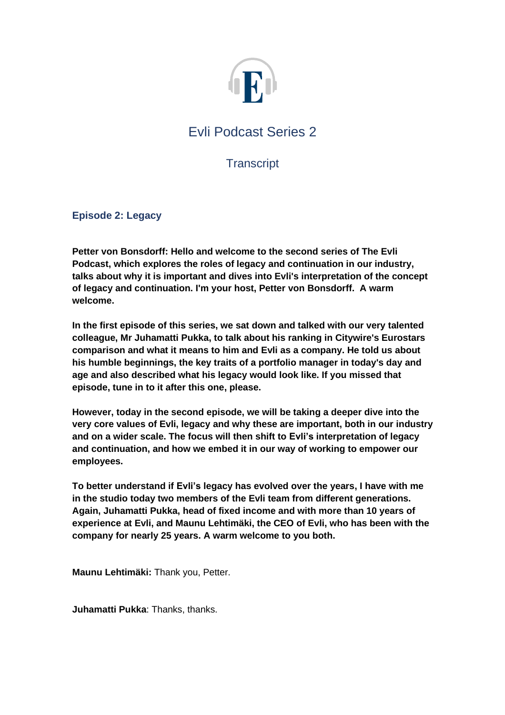

# Evli Podcast Series 2

**Transcript** 

**Episode 2: Legacy**

**Petter von Bonsdorff: Hello and welcome to the second series of The Evli Podcast, which explores the roles of legacy and continuation in our industry, talks about why it is important and dives into Evli's interpretation of the concept of legacy and continuation. I'm your host, Petter von Bonsdorff. A warm welcome.** 

**In the first episode of this series, we sat down and talked with our very talented colleague, Mr Juhamatti Pukka, to talk about his ranking in Citywire's Eurostars comparison and what it means to him and Evli as a company. He told us about his humble beginnings, the key traits of a portfolio manager in today's day and age and also described what his legacy would look like. If you missed that episode, tune in to it after this one, please.** 

**However, today in the second episode, we will be taking a deeper dive into the very core values of Evli, legacy and why these are important, both in our industry and on a wider scale. The focus will then shift to Evli's interpretation of legacy and continuation, and how we embed it in our way of working to empower our employees.** 

**To better understand if Evli's legacy has evolved over the years, I have with me in the studio today two members of the Evli team from different generations. Again, Juhamatti Pukka, head of fixed income and with more than 10 years of experience at Evli, and Maunu Lehtimäki, the CEO of Evli, who has been with the company for nearly 25 years. A warm welcome to you both.** 

**Maunu Lehtimäki:** Thank you, Petter.

**Juhamatti Pukka**: Thanks, thanks.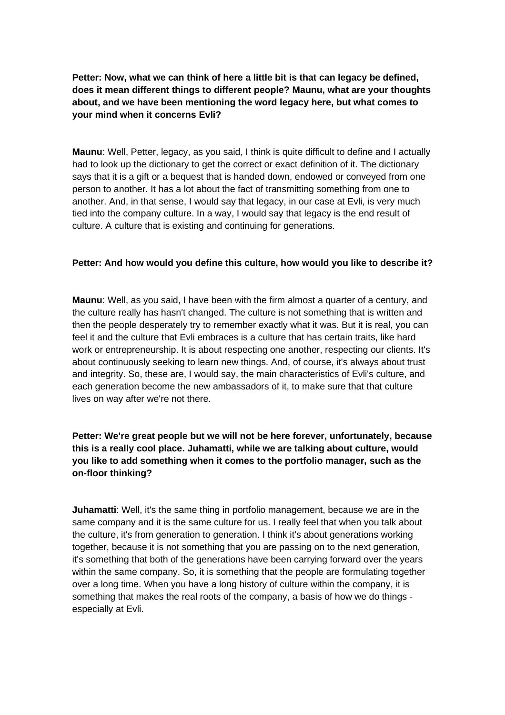**Petter: Now, what we can think of here a little bit is that can legacy be defined, does it mean different things to different people? Maunu, what are your thoughts about, and we have been mentioning the word legacy here, but what comes to your mind when it concerns Evli?** 

**Maunu**: Well, Petter, legacy, as you said, I think is quite difficult to define and I actually had to look up the dictionary to get the correct or exact definition of it. The dictionary says that it is a gift or a bequest that is handed down, endowed or conveyed from one person to another. It has a lot about the fact of transmitting something from one to another. And, in that sense, I would say that legacy, in our case at Evli, is very much tied into the company culture. In a way, I would say that legacy is the end result of culture. A culture that is existing and continuing for generations.

### **Petter: And how would you define this culture, how would you like to describe it?**

**Maunu**: Well, as you said, I have been with the firm almost a quarter of a century, and the culture really has hasn't changed. The culture is not something that is written and then the people desperately try to remember exactly what it was. But it is real, you can feel it and the culture that Evli embraces is a culture that has certain traits, like hard work or entrepreneurship. It is about respecting one another, respecting our clients. It's about continuously seeking to learn new things. And, of course, it's always about trust and integrity. So, these are, I would say, the main characteristics of Evli's culture, and each generation become the new ambassadors of it, to make sure that that culture lives on way after we're not there.

## **Petter: We're great people but we will not be here forever, unfortunately, because this is a really cool place. Juhamatti, while we are talking about culture, would you like to add something when it comes to the portfolio manager, such as the on-floor thinking?**

**Juhamatti**: Well, it's the same thing in portfolio management, because we are in the same company and it is the same culture for us. I really feel that when you talk about the culture, it's from generation to generation. I think it's about generations working together, because it is not something that you are passing on to the next generation, it's something that both of the generations have been carrying forward over the years within the same company. So, it is something that the people are formulating together over a long time. When you have a long history of culture within the company, it is something that makes the real roots of the company, a basis of how we do things especially at Evli.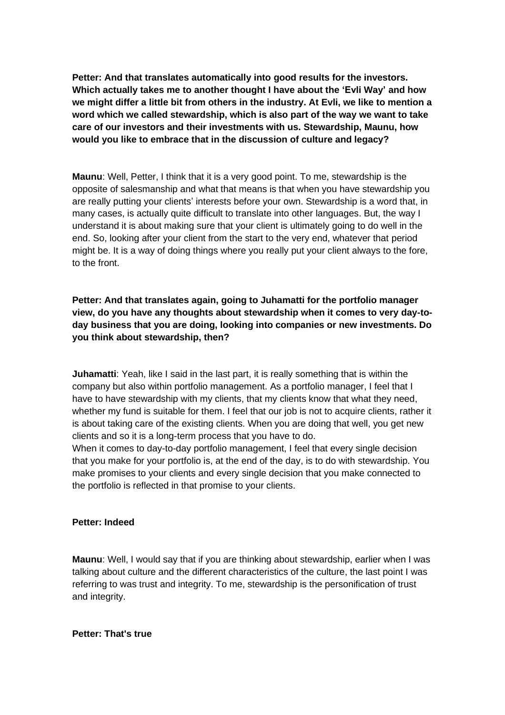**Petter: And that translates automatically into good results for the investors. Which actually takes me to another thought I have about the 'Evli Way' and how we might differ a little bit from others in the industry. At Evli, we like to mention a word which we called stewardship, which is also part of the way we want to take care of our investors and their investments with us. Stewardship, Maunu, how would you like to embrace that in the discussion of culture and legacy?** 

**Maunu**: Well, Petter, I think that it is a very good point. To me, stewardship is the opposite of salesmanship and what that means is that when you have stewardship you are really putting your clients' interests before your own. Stewardship is a word that, in many cases, is actually quite difficult to translate into other languages. But, the way I understand it is about making sure that your client is ultimately going to do well in the end. So, looking after your client from the start to the very end, whatever that period might be. It is a way of doing things where you really put your client always to the fore, to the front.

**Petter: And that translates again, going to Juhamatti for the portfolio manager view, do you have any thoughts about stewardship when it comes to very day-today business that you are doing, looking into companies or new investments. Do you think about stewardship, then?**

**Juhamatti**: Yeah, like I said in the last part, it is really something that is within the company but also within portfolio management. As a portfolio manager, I feel that I have to have stewardship with my clients, that my clients know that what they need, whether my fund is suitable for them. I feel that our job is not to acquire clients, rather it is about taking care of the existing clients. When you are doing that well, you get new clients and so it is a long-term process that you have to do.

When it comes to day-to-day portfolio management, I feel that every single decision that you make for your portfolio is, at the end of the day, is to do with stewardship. You make promises to your clients and every single decision that you make connected to the portfolio is reflected in that promise to your clients.

### **Petter: Indeed**

**Maunu**: Well, I would say that if you are thinking about stewardship, earlier when I was talking about culture and the different characteristics of the culture, the last point I was referring to was trust and integrity. To me, stewardship is the personification of trust and integrity.

### **Petter: That's true**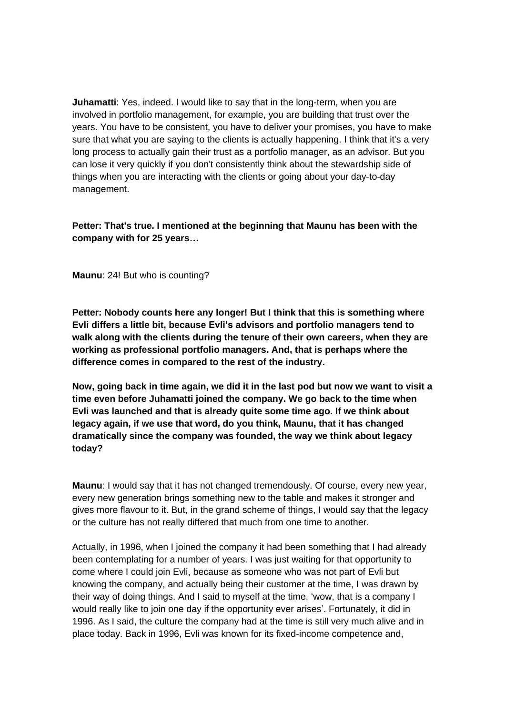**Juhamatti**: Yes, indeed. I would like to say that in the long-term, when you are involved in portfolio management, for example, you are building that trust over the years. You have to be consistent, you have to deliver your promises, you have to make sure that what you are saying to the clients is actually happening. I think that it's a very long process to actually gain their trust as a portfolio manager, as an advisor. But you can lose it very quickly if you don't consistently think about the stewardship side of things when you are interacting with the clients or going about your day-to-day management.

## **Petter: That's true. I mentioned at the beginning that Maunu has been with the company with for 25 years…**

**Maunu**: 24! But who is counting?

**Petter: Nobody counts here any longer! But I think that this is something where Evli differs a little bit, because Evli's advisors and portfolio managers tend to walk along with the clients during the tenure of their own careers, when they are working as professional portfolio managers. And, that is perhaps where the difference comes in compared to the rest of the industry.** 

**Now, going back in time again, we did it in the last pod but now we want to visit a time even before Juhamatti joined the company. We go back to the time when Evli was launched and that is already quite some time ago. If we think about legacy again, if we use that word, do you think, Maunu, that it has changed dramatically since the company was founded, the way we think about legacy today?** 

**Maunu**: I would say that it has not changed tremendously. Of course, every new year, every new generation brings something new to the table and makes it stronger and gives more flavour to it. But, in the grand scheme of things, I would say that the legacy or the culture has not really differed that much from one time to another.

Actually, in 1996, when I joined the company it had been something that I had already been contemplating for a number of years. I was just waiting for that opportunity to come where I could join Evli, because as someone who was not part of Evli but knowing the company, and actually being their customer at the time, I was drawn by their way of doing things. And I said to myself at the time, 'wow, that is a company I would really like to join one day if the opportunity ever arises'. Fortunately, it did in 1996. As I said, the culture the company had at the time is still very much alive and in place today. Back in 1996, Evli was known for its fixed-income competence and,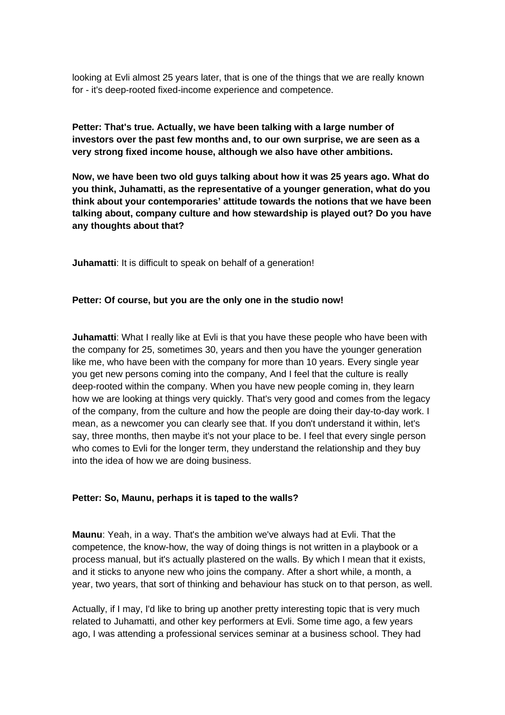looking at Evli almost 25 years later, that is one of the things that we are really known for - it's deep-rooted fixed-income experience and competence.

**Petter: That's true. Actually, we have been talking with a large number of investors over the past few months and, to our own surprise, we are seen as a very strong fixed income house, although we also have other ambitions.** 

**Now, we have been two old guys talking about how it was 25 years ago. What do you think, Juhamatti, as the representative of a younger generation, what do you think about your contemporaries' attitude towards the notions that we have been talking about, company culture and how stewardship is played out? Do you have any thoughts about that?** 

**Juhamatti:** It is difficult to speak on behalf of a generation!

#### **Petter: Of course, but you are the only one in the studio now!**

**Juhamatti**: What I really like at Evli is that you have these people who have been with the company for 25, sometimes 30, years and then you have the younger generation like me, who have been with the company for more than 10 years. Every single year you get new persons coming into the company, And I feel that the culture is really deep-rooted within the company. When you have new people coming in, they learn how we are looking at things very quickly. That's very good and comes from the legacy of the company, from the culture and how the people are doing their day-to-day work. I mean, as a newcomer you can clearly see that. If you don't understand it within, let's say, three months, then maybe it's not your place to be. I feel that every single person who comes to Evli for the longer term, they understand the relationship and they buy into the idea of how we are doing business.

#### **Petter: So, Maunu, perhaps it is taped to the walls?**

**Maunu**: Yeah, in a way. That's the ambition we've always had at Evli. That the competence, the know-how, the way of doing things is not written in a playbook or a process manual, but it's actually plastered on the walls. By which I mean that it exists, and it sticks to anyone new who joins the company. After a short while, a month, a year, two years, that sort of thinking and behaviour has stuck on to that person, as well.

Actually, if I may, I'd like to bring up another pretty interesting topic that is very much related to Juhamatti, and other key performers at Evli. Some time ago, a few years ago, I was attending a professional services seminar at a business school. They had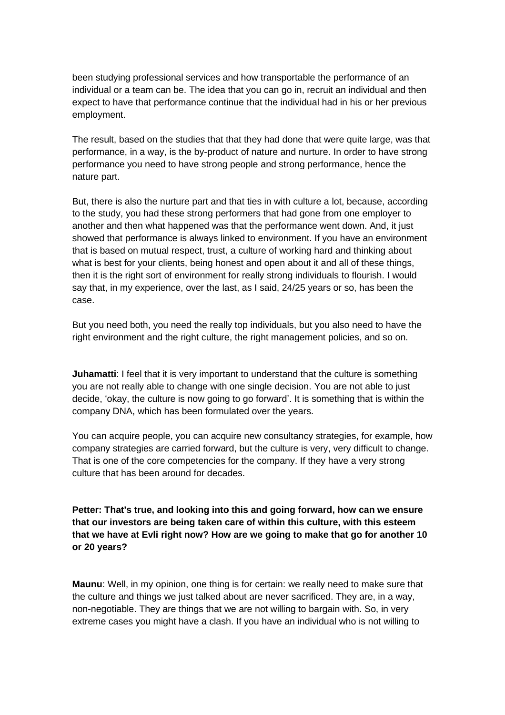been studying professional services and how transportable the performance of an individual or a team can be. The idea that you can go in, recruit an individual and then expect to have that performance continue that the individual had in his or her previous employment.

The result, based on the studies that that they had done that were quite large, was that performance, in a way, is the by-product of nature and nurture. In order to have strong performance you need to have strong people and strong performance, hence the nature part.

But, there is also the nurture part and that ties in with culture a lot, because, according to the study, you had these strong performers that had gone from one employer to another and then what happened was that the performance went down. And, it just showed that performance is always linked to environment. If you have an environment that is based on mutual respect, trust, a culture of working hard and thinking about what is best for your clients, being honest and open about it and all of these things, then it is the right sort of environment for really strong individuals to flourish. I would say that, in my experience, over the last, as I said, 24/25 years or so, has been the case.

But you need both, you need the really top individuals, but you also need to have the right environment and the right culture, the right management policies, and so on.

**Juhamatti:** I feel that it is very important to understand that the culture is something you are not really able to change with one single decision. You are not able to just decide, 'okay, the culture is now going to go forward'. It is something that is within the company DNA, which has been formulated over the years.

You can acquire people, you can acquire new consultancy strategies, for example, how company strategies are carried forward, but the culture is very, very difficult to change. That is one of the core competencies for the company. If they have a very strong culture that has been around for decades.

**Petter: That's true, and looking into this and going forward, how can we ensure that our investors are being taken care of within this culture, with this esteem that we have at Evli right now? How are we going to make that go for another 10 or 20 years?** 

**Maunu**: Well, in my opinion, one thing is for certain: we really need to make sure that the culture and things we just talked about are never sacrificed. They are, in a way, non-negotiable. They are things that we are not willing to bargain with. So, in very extreme cases you might have a clash. If you have an individual who is not willing to